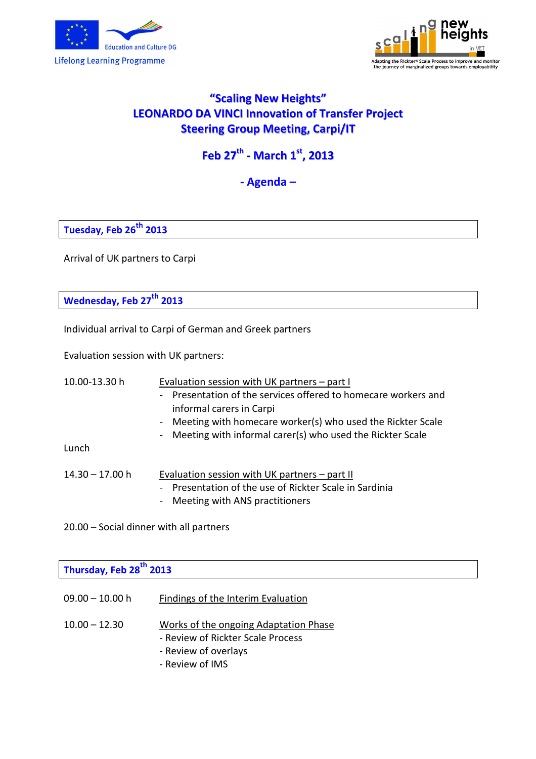



## **"Scaling New Heights" LEONARDO DA VINCI Innovation of Transfer Project Steering Group Meeting, Carpi/IT**

## **Feb 27 th - March 1 st , 2013**

### **- Agenda –**

**Tuesday, Feb 26th 2013** 

Arrival of UK partners to Carpi

**Wednesday, Feb 27th 2013** 

Individual arrival to Carpi of German and Greek partners

Evaluation session with UK partners:

| 10.00-13.30 h                           | Evaluation session with UK partners - part I<br>- Presentation of the services offered to homecare workers and<br>informal carers in Carpi<br>- Meeting with homecare worker(s) who used the Rickter Scale<br>- Meeting with informal carer(s) who used the Rickter Scale |  |
|-----------------------------------------|---------------------------------------------------------------------------------------------------------------------------------------------------------------------------------------------------------------------------------------------------------------------------|--|
| Lunch                                   |                                                                                                                                                                                                                                                                           |  |
| $14.30 - 17.00$ h                       | Evaluation session with UK partners – part II<br>- Presentation of the use of Rickter Scale in Sardinia<br>- Meeting with ANS practitioners                                                                                                                               |  |
| 20.00 - Social dinner with all partners |                                                                                                                                                                                                                                                                           |  |

| Thursday, Feb 28 <sup>th</sup> 2013 |                                       |  |
|-------------------------------------|---------------------------------------|--|
|                                     |                                       |  |
| $09.00 - 10.00 h$                   | Findings of the Interim Evaluation    |  |
|                                     |                                       |  |
| $10.00 - 12.30$                     | Works of the ongoing Adaptation Phase |  |
|                                     | - Review of Rickter Scale Process     |  |
|                                     | - Review of overlays                  |  |
|                                     | - Review of IMS                       |  |